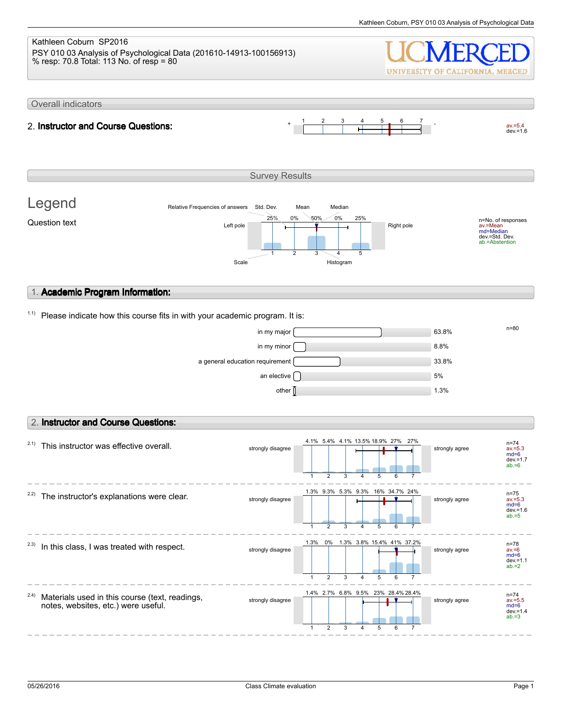### Kathleen Coburn SP2016 PSY 010 03 Analysis of Psychological Data (201610-14913-100156913) % resp: 70.8 Total: 113 No. of resp = 80 UNIVERSITY OF CALIFORNIA, MERCED Overall indicators 1 2 3 4 5 6 7  $av.=5.4$ <br>dev.=1.6 2. **Instructor and Course Questions:** Survey Results Legend Relative Frequencies of answers Std. Dev. Mean Median 0% 25% 0% 50% 25% n=No. of responses av.=Mean md=Median Question text  $L$  and  $L$  the  $\frac{L}{L}$  and  $\frac{L}{L}$  and  $\frac{L}{L}$  Right pole dev.=Std. Dev. ab.=Abstention 1 2 3 4 5 Scale Histogram 1. **Academic Program Information:**  $1.1)$  Please indicate how this course fits in with your academic program. It is:  $\frac{m}{83.8\%}$  in my major  $\frac{m}{80.8\%}$  $\frac{1}{2}$  in my minor  $\boxed{3.8\%}$ a general education requirement 33.8% an elective  $\bigcap$ other  $\int$  1.3% 2. **Instructor and Course Questions:** 27% 27%  $2.1)$  This instructor was effective overall. 4.1% 5.4% 4.1% 13.5% 18.9% n=74 strongly disagree strongly agree av.=5.3 md=6 dev.=1.7 ab.=6 2 3 4 5 6 7 1  $2.2$ ) The instructor's explanations were clear. 1.3% 9.3% 5.3% 9.3% 16% 34.7% 24% n=75 av.=5.3 md=6 strongly disagree strongly agree  $dev = 1.6$  $ab = 5$ 1 2 3 4 5 6 7 1.3% 0% 1.3% 41% 37.2% 3.8% 15.4% n=78  $2.3)$  In this class, I was treated with respect. strongly disagree strongly agree av.=6 md=6  $dev = 1.1$  $ab = 2$ 1 2 3 4 5 6 7 2.4) 1.4% 2.7% 6.8% 9.5% 23% 28.4% 28.4% Materials used in this course (text, readings, n=74<br>av.=5.5<br>md=6<br>dev.=1.4<br>ab.=3 strongly disagree strongly disagree notes, websites, etc.) were useful. 1 2 3 4 5 6 7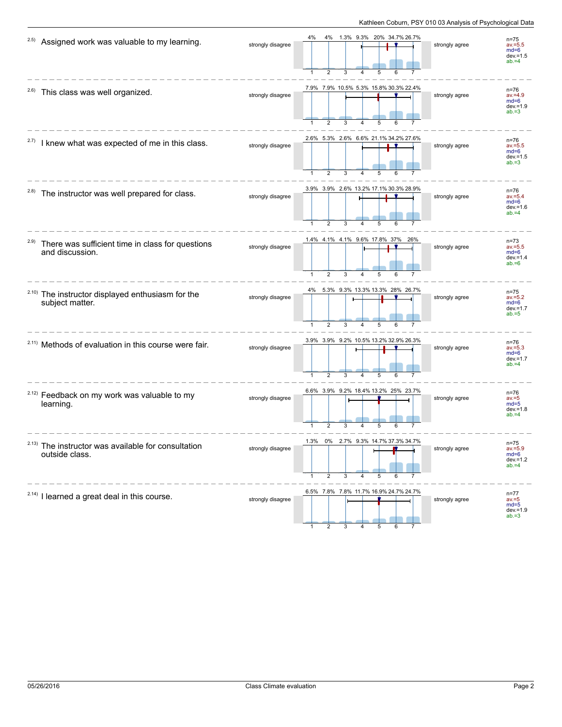| 2.5)  | Assigned work was valuable to my learning.                                      | strongly disagree | 4%<br>4%<br>1.3% 9.3% 20% 34.7% 26.7%<br>$\overline{2}$<br>$\mathbf{1}$<br>3<br>5            | strongly agree | $n = 75$<br>$av = 5.5$<br>$md=6$<br>$dev = 1.5$<br>$ab = 4$ |
|-------|---------------------------------------------------------------------------------|-------------------|----------------------------------------------------------------------------------------------|----------------|-------------------------------------------------------------|
| 2.6)  | This class was well organized.                                                  | strongly disagree | 7.9% 7.9% 10.5% 5.3% 15.8% 30.3% 22.4%<br>2<br>3<br>4<br>5                                   | strongly agree | $n = 76$<br>$av = 4.9$<br>$md=6$<br>$dev = 1.9$<br>$ab = 3$ |
| 2.7)  | I knew what was expected of me in this class.                                   | strongly disagree | 2.6% 5.3% 2.6% 6.6% 21.1% 34.2% 27.6%<br>$\overline{2}$<br>3                                 | strongly agree | $n = 76$<br>$av = 5.5$<br>$md=6$<br>$dev = 1.5$<br>$ab = 3$ |
| 2.8)  | The instructor was well prepared for class.                                     | strongly disagree | 3.9% 3.9% 2.6% 13.2% 17.1% 30.3% 28.9%<br>$\overline{2}$<br>3<br>$\mathbf{1}$<br>5<br>6<br>4 | strongly agree | n=76<br>$av = 5.4$<br>$md=6$<br>$dev = 1.6$<br>$ab = 4$     |
| 2.9)  | There was sufficient time in class for questions<br>and discussion.             | strongly disagree | 1.4% 4.1% 4.1% 9.6% 17.8% 37% 26%<br>$\mathbf{1}$<br>$\overline{2}$<br>3<br>4<br>5<br>6      | strongly agree | $n = 73$<br>$av = 5.5$<br>$md=6$<br>$dev = 1.4$<br>$ab = 6$ |
|       | <sup>2.10)</sup> The instructor displayed enthusiasm for the<br>subject matter. | strongly disagree | 4% 5.3% 9.3% 13.3% 13.3% 28% 26.7%<br>$\overline{2}$<br>$\mathbf{1}$<br>3<br>5<br>4          | strongly agree | $n = 75$<br>$av = 5.2$<br>$md=6$<br>$dev = 1.7$<br>$ab = 5$ |
|       | <sup>2.11)</sup> Methods of evaluation in this course were fair.                | strongly disagree | 3.9% 3.9% 9.2% 10.5% 13.2% 32.9% 26.3%<br>$\overline{2}$<br>3                                | strongly agree | $n = 76$<br>$av = 5.3$<br>$md=6$<br>$dev = 1.7$<br>$ab = 4$ |
|       | <sup>2.12)</sup> Feedback on my work was valuable to my<br>learning.            | strongly disagree | 6.6% 3.9% 9.2% 18.4% 13.2% 25% 23.7%<br>2<br>1<br>3<br>5                                     | strongly agree | $n = 76$<br>$av = 5$<br>$md=5$<br>$dev = 1.8$<br>$ab = 4$   |
| 2.13) | The instructor was available for consultation<br>outside class.                 | strongly disagree | 1.3%<br>0%<br>2.7% 9.3%<br>2<br>3<br>5                                                       | strongly agree | n=75<br>$av = 5.9$<br>$md=6$<br>$dev = 1.2$<br>$ab = 4$     |
|       | <sup>2.14)</sup> I learned a great deal in this course.                         | strongly disagree | 6.5% 7.8% 7.8% 11.7% 16.9% 24.7% 24.7%                                                       | strongly agree | $n = 77$<br>$av = 5$<br>$md=5$<br>$dev = 1.9$<br>$ab = 3$   |

1 2 3 4 5 6 7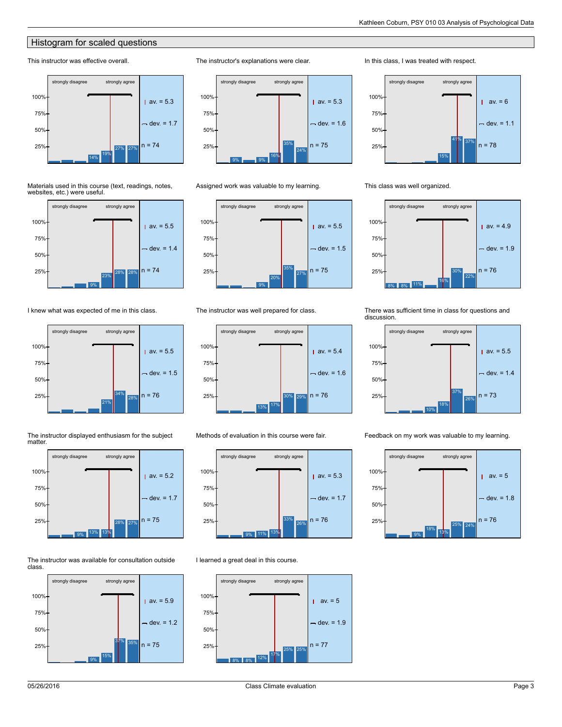# Histogram for scaled questions

# This instructor was effective overall.



Materials used in this course (text, readings, notes, websites, etc.) were useful.



I knew what was expected of me in this class.





28% 27%

The instructor displayed enthusiasm for the subject

The instructor was available for consultation outside class.

9% 13% 13%

 $25\%$  n = 75





Assigned work was valuable to my learning.

The instructor's explanations were clear.



### The instructor was well prepared for class.



Methods of evaluation in this course were fair.



I learned a great deal in this course.

### strongly disagree strongly agree 100%av.  $= 5$ T 75% dev. =  $1.9$ 50%  $25\%$  n = 77 25% 25% 17% 8% 8% 12%

# In this class, I was treated with respect.



This class was well organized.



There was sufficient time in class for questions and discussion.



Feedback on my work was valuable to my learning.

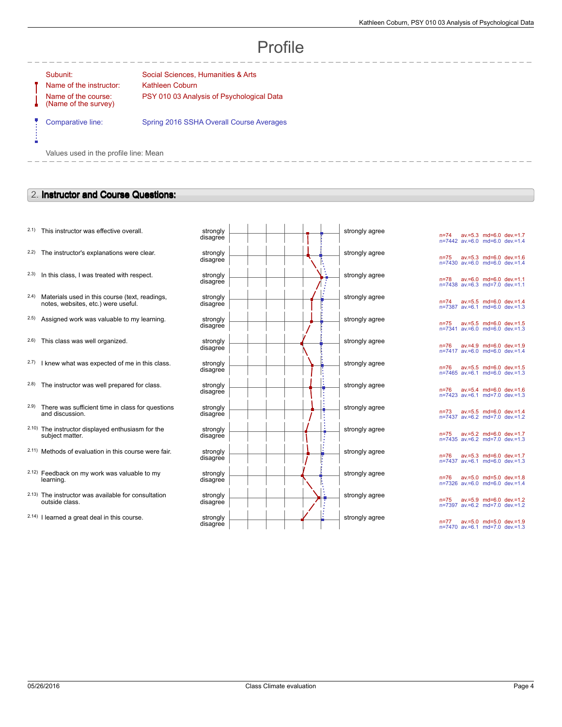# Profile

--------

÷

Name of the instructor: Kathleen Coburn Name of the course: (Name of the survey)

Subunit: Subunit: Social Sciences, Humanities & Arts PSY 010 03 Analysis of Psychological Data

Comparative line: Spring 2016 SSHA Overall Course Averages

Values used in the profile line: Mean

# 2. **Instructor and Course Questions:**

- $2.1$ ) This instructor was effective overall.
- $2.2$ ) The instructor's explanations were clear.
- $2.3$  In this class, I was treated with respect.
- 2.4) Materials used in this course (text, readings, notes, websites, etc.) were useful.
- $2.5$ ) Assigned work was valuable to my learning.
- $2.6$ ) This class was well organized.
- $2.7)$  I knew what was expected of me in this class.
- $2.8$ ) The instructor was well prepared for class.
- 2.9) There was sufficient time in class for questions and discussion.
- 2.10) The instructor displayed enthusiasm for the subject matter.
- 2.11) Methods of evaluation in this course were fair.
- 2.12) Feedback on my work was valuable to my learning.
- 2.13) The instructor was available for consultation outside class.
- $2.14$ ) I learned a great deal in this course.

| strongly<br>disagree |  |  | strongly agree |
|----------------------|--|--|----------------|
| strongly<br>disagree |  |  | strongly agree |
| strongly<br>disagree |  |  | strongly agree |
| strongly<br>disagree |  |  | strongly agree |
| strongly<br>disagree |  |  | strongly agree |
| strongly<br>disagree |  |  | strongly agree |
| strongly<br>disagree |  |  | strongly agree |
| strongly<br>disagree |  |  | strongly agree |
| strongly<br>disagree |  |  | strongly agree |
| strongly<br>disagree |  |  | strongly agree |
| strongly<br>disagree |  |  | strongly agree |
| strongly<br>disagree |  |  | strongly agree |
| strongly<br>disagree |  |  | strongly agree |
| strongly<br>disagree |  |  | strongly agree |

n=74 av.=5.3 md=6.0 dev.=1.7 n=7442 av.=6.0 md=6.0 dev.=1.4 n=75 av.=5.3 md=6.0 dev.=1.6 n=7430 av.=6.0 md=6.0 dev.=1.4 n=78 av.=6.0 md=6.0 dev.=1.1 n=7438 av.=6.3 md=7.0 dev.=1.1 n=74 av.=5.5 md=6.0 dev.=1.4 n=7387 av.=6.1 md=6.0 dev.=1.3 n=75 av.=5.5 md=6.0 dev.=1.5 n=7341 av.=6.0 md=6.0 dev.=1.3 n=76 av.=4.9 md=6.0 dev.=1.9 n=7417 av.=6.0 md=6.0 dev.=1.4 n=76 av.=5.5 md=6.0 dev.=1.5 n=7465 av.=6.1 md=6.0 dev.=1.3 n=76 av.=5.4 md=6.0 dev.=1.6 n=7423 av.=6.1 md=7.0 dev.=1.3 n=73 av.=5.5 md=6.0 dev.=1.4 n=7437 av.=6.2 md=7.0 dev.=1.2 n=75 av.=5.2 md=6.0 dev.=1.7 n=7435 av.=6.2 md=7.0 dev.=1.3 n=76 av.=5.3 md=6.0 dev.=1.7 n=7437 av.=6.1 md=6.0 dev.=1.3 n=76 av.=5.0 md=5.0 dev.=1.8 n=7326 av.=6.0 md=6.0 dev.=1.4 n=75 av.=5.9 md=6.0 dev.=1.2 n=7397 av.=6.2 md=7.0 dev.=1.2 n=77 av.=5.0 md=5.0 dev.=1.9 n=7470 av.=6.1 md=7.0 dev.=1.3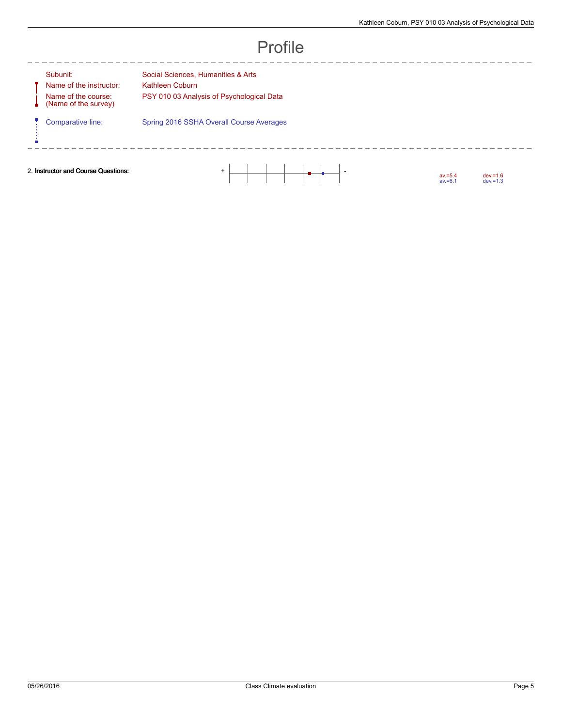| ЛT<br>ſ. |  |
|----------|--|
|----------|--|

J Ų

ń

Name of the instructor: Kathleen Coburn Name of the course: (Name of the survey)

--------

Subunit: Social Sciences, Humanities & Arts PSY 010 03 Analysis of Psychological Data

Comparative line: Spring 2016 SSHA Overall Course Averages

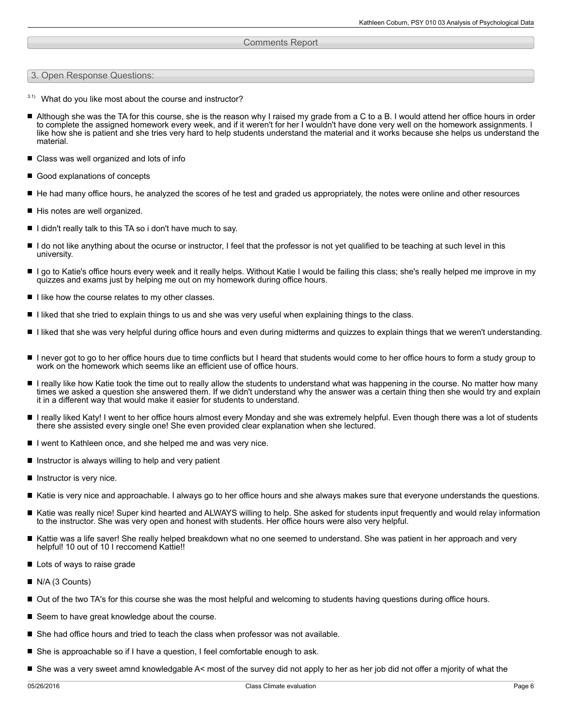## Comments Report

3. Open Response Questions:

- $3.1)$  What do you like most about the course and instructor?
- Although she was the TA for this course, she is the reason why I raised my grade from a C to a B. I would attend her office hours in order П to complete the assigned homework every week, and if it weren't for her I wouldn't have done very well on the homework assignments. I like how she is patient and she tries very hard to help students understand the material and it works because she helps us understand the material.
- Class was well organized and lots of info
- Good explanations of concepts
- He had many office hours, he analyzed the scores of he test and graded us appropriately, the notes were online and other resources
- His notes are well organized.
- I didn't really talk to this TA so i don't have much to say.
- I do not like anything about the ocurse or instructor, I feel that the professor is not yet qualified to be teaching at such level in this university.
- I go to Katie's office hours every week and it really helps. Without Katie I would be failing this class; she's really helped me improve in my quizzes and exams just by helping me out on my homework during office hours.
- I like how the course relates to my other classes.
- I liked that she tried to explain things to us and she was very useful when explaining things to the class.
- I liked that she was very helpful during office hours and even during midterms and quizzes to explain things that we weren't understanding.
- I never got to go to her office hours due to time conflicts but I heard that students would come to her office hours to form a study group to work on the homework which seems like an efficient use of office hours.
- I really like how Katie took the time out to really allow the students to understand what was happening in the course. No matter how many times we asked a question she answered them. If we didn't understand why the answer was a certain thing then she would try and explain it in a different way that would make it easier for students to understand.
- $\blacksquare$ I really liked Katy! I went to her office hours almost every Monday and she was extremely helpful. Even though there was a lot of students there she assisted every single one! She even provided clear explanation when she lectured.
- I went to Kathleen once, and she helped me and was very nice.
- Instructor is always willing to help and very patient
- $\blacksquare$  Instructor is very nice.
- Katie is very nice and approachable. I always go to her office hours and she always makes sure that everyone understands the questions.
- $\blacksquare$ Katie was really nice! Super kind hearted and ALWAYS willing to help. She asked for students input frequently and would relay information to the instructor. She was very open and honest with students. Her office hours were also very helpful.
- Kattie was a life saver! She really helped breakdown what no one seemed to understand. She was patient in her approach and very helpful! 10 out of 10 I reccomend Kattie!!
- Lots of ways to raise grade
- N/A (3 Counts)
- Out of the two TA's for this course she was the most helpful and welcoming to students having questions during office hours.
- Seem to have great knowledge about the course.
- $\blacksquare$  She had office hours and tried to teach the class when professor was not available.
- She is approachable so if I have a question, I feel comfortable enough to ask.
- She was a very sweet amnd knowledgable A< most of the survey did not apply to her as her job did not offer a mjority of what the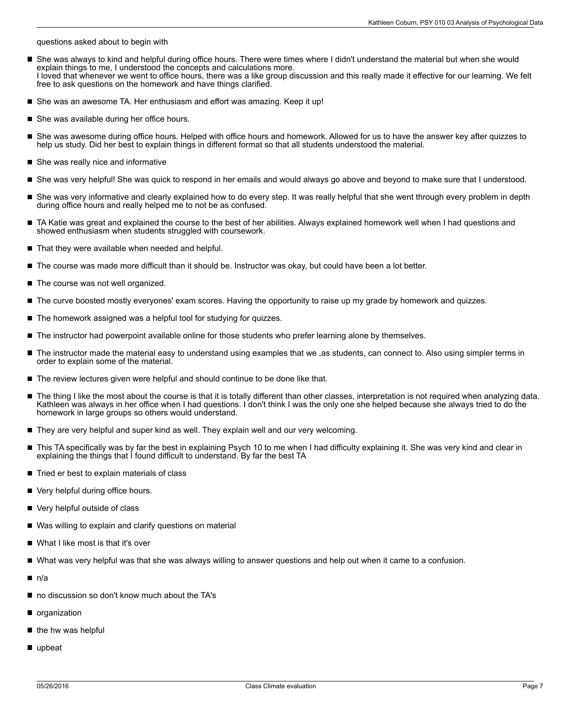questions asked about to begin with

- She was always to kind and helpful during office hours. There were times where I didn't understand the material but when she would  $\blacksquare$ explain things to me, I understood the concepts and calculations more. I loved that whenever we went to office hours, there was a like group discussion and this really made it effective for our learning. We felt free to ask questions on the homework and have things clarified.
- She was an awesome TA. Her enthusiasm and effort was amazing. Keep it up!
- She was available during her office hours.
- She was awesome during office hours. Helped with office hours and homework. Allowed for us to have the answer key after quizzes to  $\blacksquare$ help us study. Did her best to explain things in different format so that all students understood the material.
- She was really nice and informative
- She was very helpful! She was quick to respond in her emails and would always go above and beyond to make sure that I understood.
- She was very informative and clearly explained how to do every step. It was really helpful that she went through every problem in depth during office hours and really helped me to not be as confused.
- TA Katie was great and explained the course to the best of her abilities. Always explained homework well when I had questions and showed enthusiasm when students struggled with coursework.
- That they were available when needed and helpful.
- The course was made more difficult than it should be. Instructor was okay, but could have been a lot better.
- The course was not well organized.
- The curve boosted mostly everyones' exam scores. Having the opportunity to raise up my grade by homework and quizzes.
- The homework assigned was a helpful tool for studying for quizzes.
- The instructor had powerpoint available online for those students who prefer learning alone by themselves.
- The instructor made the material easy to understand using examples that we ,as students, can connect to. Also using simpler terms in order to explain some of the material.
- $\blacksquare$ The review lectures given were helpful and should continue to be done like that.
- The thing I like the most about the course is that it is totally different than other classes, interpretation is not required when analyzing data. П Kathleen was always in her office when I had questions. I don't think I was the only one she helped because she always tried to do the homework in large groups so others would understand.
- $\blacksquare$  They are very helpful and super kind as well. They explain well and our very welcoming.
- This TA specifically was by far the best in explaining Psych 10 to me when I had difficulty explaining it. She was very kind and clear in explaining the things that I found difficult to understand. By far the best TA
- Tried er best to explain materials of class
- Very helpful during office hours.
- Very helpful outside of class
- Was willing to explain and clarify questions on material
- What I like most is that it's over
- What was very helpful was that she was always willing to answer questions and help out when it came to a confusion. П
- $\blacksquare$  n/a
- no discussion so don't know much about the TA's
- organization
- $\blacksquare$  the hw was helpful
- upbeat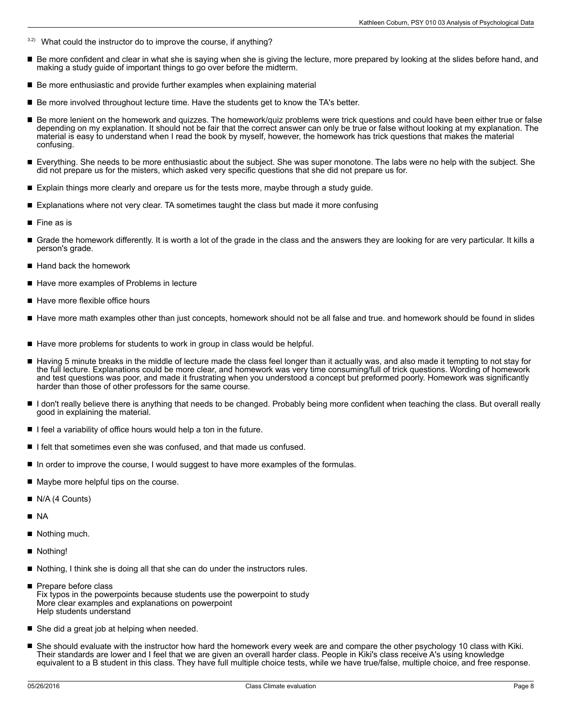- $3.2$ ) What could the instructor do to improve the course, if anything?
- $\blacksquare$ Be more confident and clear in what she is saying when she is giving the lecture, more prepared by looking at the slides before hand, and making a study guide of important things to go over before the midterm.
- Be more enthusiastic and provide further examples when explaining material
- Be more involved throughout lecture time. Have the students get to know the TA's better.
- Be more lenient on the homework and quizzes. The homework/quiz problems were trick questions and could have been either true or false depending on my explanation. It should not be fair that the correct answer can only be true or false without looking at my explanation. The material is easy to understand when I read the book by myself, however, the homework has trick questions that makes the material confusing.
- Everything. She needs to be more enthusiastic about the subject. She was super monotone. The labs were no help with the subject. She did not prepare us for the misters, which asked very specific questions that she did not prepare us for.
- Explain things more clearly and orepare us for the tests more, maybe through a study guide.
- Explanations where not very clear. TA sometimes taught the class but made it more confusing
- П Fine as is
- Grade the homework differently. It is worth a lot of the grade in the class and the answers they are looking for are very particular. It kills a person's grade.
- Hand back the homework
- Have more examples of Problems in lecture
- Have more flexible office hours
- Have more math examples other than just concepts, homework should not be all false and true. and homework should be found in slides
- $\blacksquare$  Have more problems for students to work in group in class would be helpful.
- Having 5 minute breaks in the middle of lecture made the class feel longer than it actually was, and also made it tempting to not stay for the full lecture. Explanations could be more clear, and homework was very time consuming/full of trick questions. Wording of homework and test questions was poor, and made it frustrating when you understood a concept but preformed poorly. Homework was significantly harder than those of other professors for the same course.
- I don't really believe there is anything that needs to be changed. Probably being more confident when teaching the class. But overall really good in explaining the material.
- $\blacksquare$  I feel a variability of office hours would help a ton in the future.
- I felt that sometimes even she was confused, and that made us confused.
- In order to improve the course, I would suggest to have more examples of the formulas.
- Maybe more helpful tips on the course.
- N/A (4 Counts)
- NA
- Nothing much.
- Nothing!
- Nothing, I think she is doing all that she can do under the instructors rules.
- Prepare before class Fix typos in the powerpoints because students use the powerpoint to study More clear examples and explanations on powerpoint Help students understand
- She did a great job at helping when needed.
- She should evaluate with the instructor how hard the homework every week are and compare the other psychology 10 class with Kiki. Their standards are lower and I feel that we are given an overall harder class. People in Kiki's class receive A's using knowledge equivalent to a B student in this class. They have full multiple choice tests, while we have true/false, multiple choice, and free response.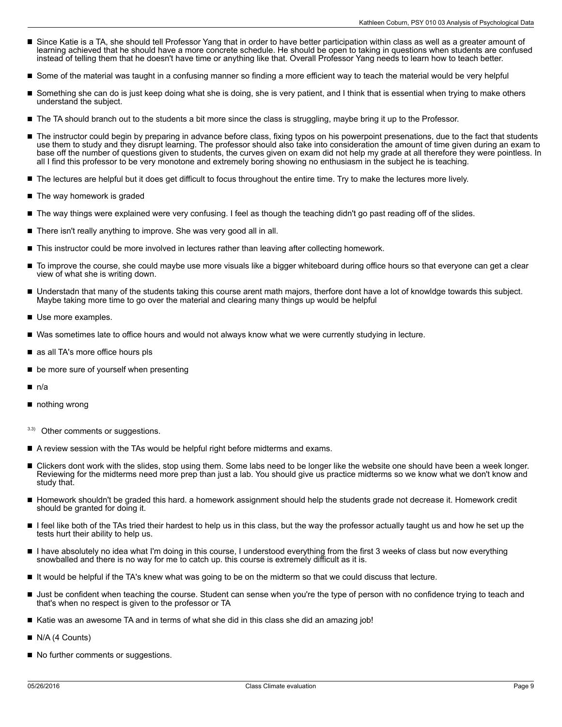- Since Katie is a TA, she should tell Professor Yang that in order to have better participation within class as well as a greater amount of learning achieved that he should have a more concrete schedule. He should be open to taking in questions when students are confused instead of telling them that he doesn't have time or anything like that. Overall Professor Yang needs to learn how to teach better.
- Some of the material was taught in a confusing manner so finding a more efficient way to teach the material would be very helpful
- Something she can do is just keep doing what she is doing, she is very patient, and I think that is essential when trying to make others understand the subject.
- The TA should branch out to the students a bit more since the class is struggling, maybe bring it up to the Professor.
- П The instructor could begin by preparing in advance before class, fixing typos on his powerpoint presenations, due to the fact that students use them to study and they disrupt learning. The professor should also take into consideration the amount of time given during an exam to base off the number of questions given to students, the curves given on exam did not help my grade at all therefore they were pointless. In all I find this professor to be very monotone and extremely boring showing no enthusiasm in the subject he is teaching.
- The lectures are helpful but it does get difficult to focus throughout the entire time. Try to make the lectures more lively.
- The way homework is graded
- The way things were explained were very confusing. I feel as though the teaching didn't go past reading off of the slides.
- There isn't really anything to improve. She was very good all in all.
- This instructor could be more involved in lectures rather than leaving after collecting homework.
- To improve the course, she could maybe use more visuals like a bigger whiteboard during office hours so that everyone can get a clear  $\blacksquare$ view of what she is writing down.
- Understadn that many of the students taking this course arent math majors, therfore dont have a lot of knowldge towards this subject. Maybe taking more time to go over the material and clearing many things up would be helpful
- Use more examples.
- Was sometimes late to office hours and would not always know what we were currently studying in lecture.
- as all TA's more office hours pls
- be more sure of yourself when presenting
- $\blacksquare$ n/a
- nothing wrong
- 3.3) Other comments or suggestions.
- A review session with the TAs would be helpful right before midterms and exams.
- П Clickers dont work with the slides, stop using them. Some labs need to be longer like the website one should have been a week longer. Reviewing for the midterms need more prep than just a lab. You should give us practice midterms so we know what we don't know and study that.
- Homework shouldn't be graded this hard. a homework assignment should help the students grade not decrease it. Homework credit should be granted for doing it.
- I feel like both of the TAs tried their hardest to help us in this class, but the way the professor actually taught us and how he set up the tests hurt their ability to help us.
- I have absolutely no idea what I'm doing in this course, I understood everything from the first 3 weeks of class but now everything п snowballed and there is no way for me to catch up. this course is extremely difficult as it is.
- It would be helpful if the TA's knew what was going to be on the midterm so that we could discuss that lecture.
- Just be confident when teaching the course. Student can sense when you're the type of person with no confidence trying to teach and that's when no respect is given to the professor or TA
- Katie was an awesome TA and in terms of what she did in this class she did an amazing job!
- N/A (4 Counts)
- No further comments or suggestions.